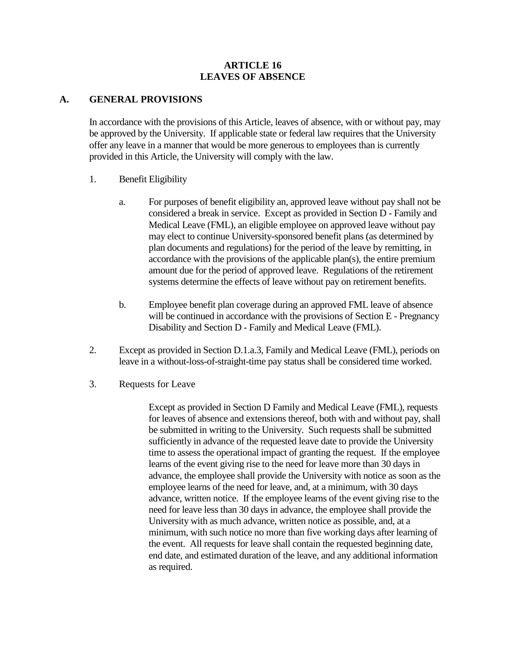#### **ARTICLE 16 LEAVES OF ABSENCE**

#### **A. GENERAL PROVISIONS**

In accordance with the provisions of this Article, leaves of absence, with or without pay, may be approved by the University. If applicable state or federal law requires that the University offer any leave in a manner that would be more generous to employees than is currently provided in this Article, the University will comply with the law.

- 1. Benefit Eligibility
	- a. For purposes of benefit eligibility an, approved leave without pay shall not be considered a break in service. Except as provided in Section D - Family and Medical Leave (FML), an eligible employee on approved leave without pay may elect to continue University-sponsored benefit plans (as determined by plan documents and regulations) for the period of the leave by remitting, in accordance with the provisions of the applicable plan(s), the entire premium amount due for the period of approved leave. Regulations of the retirement systems determine the effects of leave without pay on retirement benefits.
	- b. Employee benefit plan coverage during an approved FML leave of absence will be continued in accordance with the provisions of Section E - Pregnancy Disability and Section D - Family and Medical Leave (FML).
- 2. Except as provided in Section D.1.a.3, Family and Medical Leave (FML), periods on leave in a without-loss-of-straight-time pay status shall be considered time worked.
- 3. Requests for Leave

Except as provided in Section D Family and Medical Leave (FML), requests for leaves of absence and extensions thereof, both with and without pay, shall be submitted in writing to the University. Such requests shall be submitted sufficiently in advance of the requested leave date to provide the University time to assess the operational impact of granting the request. If the employee learns of the event giving rise to the need for leave more than 30 days in advance, the employee shall provide the University with notice as soon as the employee learns of the need for leave, and, at a minimum, with 30 days advance, written notice. If the employee learns of the event giving rise to the need for leave less than 30 days in advance, the employee shall provide the University with as much advance, written notice as possible, and, at a minimum, with such notice no more than five working days after learning of the event. All requests for leave shall contain the requested beginning date, end date, and estimated duration of the leave, and any additional information as required.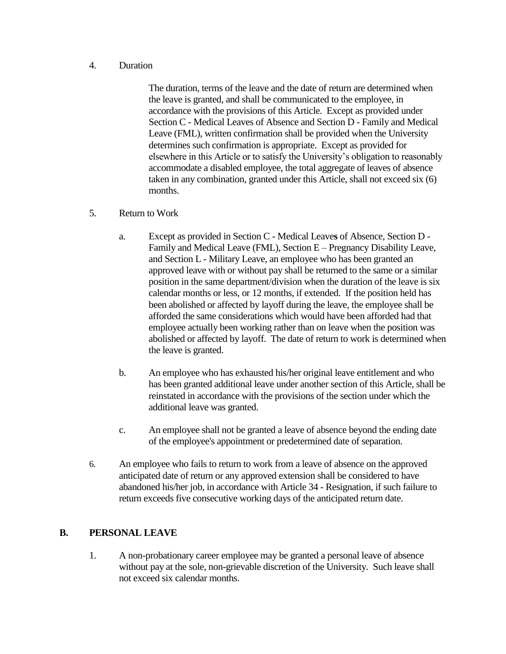#### 4. Duration

The duration, terms of the leave and the date of return are determined when the leave is granted, and shall be communicated to the employee, in accordance with the provisions of this Article. Except as provided under Section C - Medical Leaves of Absence and Section D - Family and Medical Leave (FML), written confirmation shall be provided when the University determines such confirmation is appropriate. Except as provided for elsewhere in this Article or to satisfy the University's obligation to reasonably accommodate a disabled employee, the total aggregate of leaves of absence taken in any combination, granted under this Article, shall not exceed six (6) months.

#### 5. Return to Work

- a. Except as provided in Section C Medical Leave**s** of Absence, Section D Family and Medical Leave (FML), Section E – Pregnancy Disability Leave, and Section L - Military Leave, an employee who has been granted an approved leave with or without pay shall be returned to the same or a similar position in the same department/division when the duration of the leave is six calendar months or less, or 12 months, if extended. If the position held has been abolished or affected by layoff during the leave, the employee shall be afforded the same considerations which would have been afforded had that employee actually been working rather than on leave when the position was abolished or affected by layoff. The date of return to work is determined when the leave is granted.
- b. An employee who has exhausted his/her original leave entitlement and who has been granted additional leave under another section of this Article, shall be reinstated in accordance with the provisions of the section under which the additional leave was granted.
- c. An employee shall not be granted a leave of absence beyond the ending date of the employee's appointment or predetermined date of separation.
- 6. An employee who fails to return to work from a leave of absence on the approved anticipated date of return or any approved extension shall be considered to have abandoned his/her job, in accordance with Article 34 - Resignation, if such failure to return exceeds five consecutive working days of the anticipated return date.

### **B. PERSONAL LEAVE**

1. A non-probationary career employee may be granted a personal leave of absence without pay at the sole, non-grievable discretion of the University. Such leave shall not exceed six calendar months.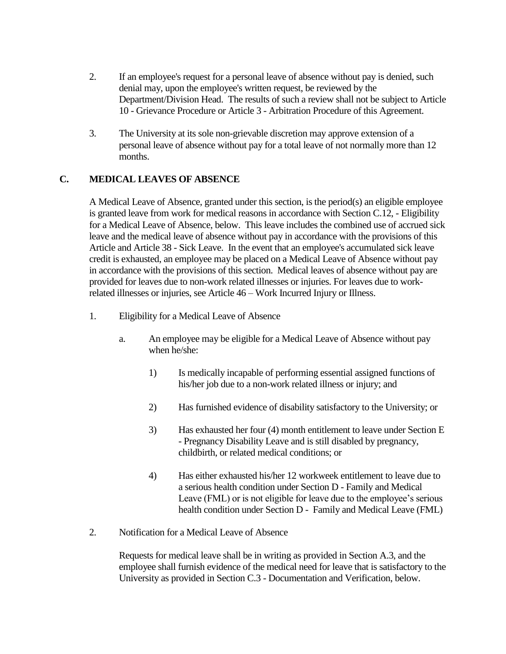- 2. If an employee's request for a personal leave of absence without pay is denied, such denial may, upon the employee's written request, be reviewed by the Department/Division Head. The results of such a review shall not be subject to Article 10 - Grievance Procedure or Article 3 - Arbitration Procedure of this Agreement.
- 3. The University at its sole non-grievable discretion may approve extension of a personal leave of absence without pay for a total leave of not normally more than 12 months.

# **C. MEDICAL LEAVES OF ABSENCE**

A Medical Leave of Absence, granted under this section, is the period(s) an eligible employee is granted leave from work for medical reasons in accordance with Section C.12, - Eligibility for a Medical Leave of Absence, below. This leave includes the combined use of accrued sick leave and the medical leave of absence without pay in accordance with the provisions of this Article and Article 38 - Sick Leave. In the event that an employee's accumulated sick leave credit is exhausted, an employee may be placed on a Medical Leave of Absence without pay in accordance with the provisions of this section. Medical leaves of absence without pay are provided for leaves due to non-work related illnesses or injuries. For leaves due to workrelated illnesses or injuries, see Article 46 – Work Incurred Injury or Illness.

- 1. Eligibility for a Medical Leave of Absence
	- a. An employee may be eligible for a Medical Leave of Absence without pay when he/she:
		- 1) Is medically incapable of performing essential assigned functions of his/her job due to a non-work related illness or injury; and
		- 2) Has furnished evidence of disability satisfactory to the University; or
		- 3) Has exhausted her four (4) month entitlement to leave under Section E - Pregnancy Disability Leave and is still disabled by pregnancy, childbirth, or related medical conditions; or
		- 4) Has either exhausted his/her 12 workweek entitlement to leave due to a serious health condition under Section D - Family and Medical Leave (FML) or is not eligible for leave due to the employee's serious health condition under Section D - Family and Medical Leave (FML)
- 2. Notification for a Medical Leave of Absence

Requests for medical leave shall be in writing as provided in Section A.3, and the employee shall furnish evidence of the medical need for leave that is satisfactory to the University as provided in Section C.3 - Documentation and Verification, below.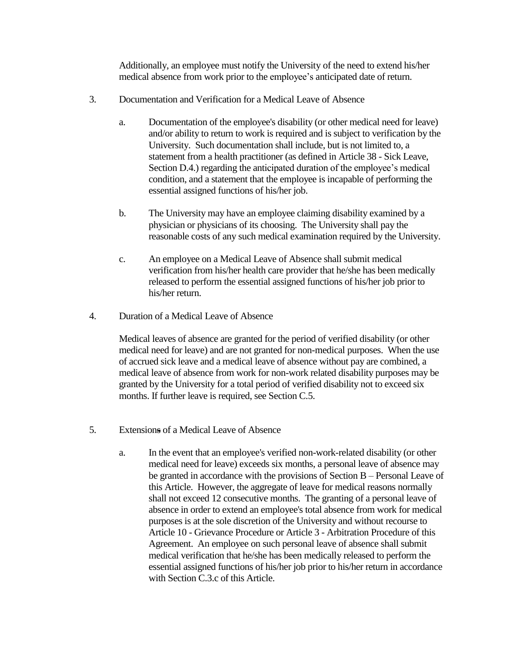Additionally, an employee must notify the University of the need to extend his/her medical absence from work prior to the employee's anticipated date of return.

- 3. Documentation and Verification for a Medical Leave of Absence
	- a. Documentation of the employee's disability (or other medical need for leave) and/or ability to return to work is required and is subject to verification by the University. Such documentation shall include, but is not limited to, a statement from a health practitioner (as defined in Article 38 - Sick Leave, Section D.4.) regarding the anticipated duration of the employee's medical condition, and a statement that the employee is incapable of performing the essential assigned functions of his/her job.
	- b. The University may have an employee claiming disability examined by a physician or physicians of its choosing. The University shall pay the reasonable costs of any such medical examination required by the University.
	- c. An employee on a Medical Leave of Absence shall submit medical verification from his/her health care provider that he/she has been medically released to perform the essential assigned functions of his/her job prior to his/her return.
- 4. Duration of a Medical Leave of Absence

Medical leaves of absence are granted for the period of verified disability (or other medical need for leave) and are not granted for non-medical purposes. When the use of accrued sick leave and a medical leave of absence without pay are combined, a medical leave of absence from work for non-work related disability purposes may be granted by the University for a total period of verified disability not to exceed six months. If further leave is required, see Section C.5.

- 5. Extensions of a Medical Leave of Absence
	- a. In the event that an employee's verified non-work-related disability (or other medical need for leave) exceeds six months, a personal leave of absence may be granted in accordance with the provisions of Section B – Personal Leave of this Article. However, the aggregate of leave for medical reasons normally shall not exceed 12 consecutive months. The granting of a personal leave of absence in order to extend an employee's total absence from work for medical purposes is at the sole discretion of the University and without recourse to Article 10 - Grievance Procedure or Article 3 - Arbitration Procedure of this Agreement. An employee on such personal leave of absence shall submit medical verification that he/she has been medically released to perform the essential assigned functions of his/her job prior to his/her return in accordance with Section C.3.c of this Article.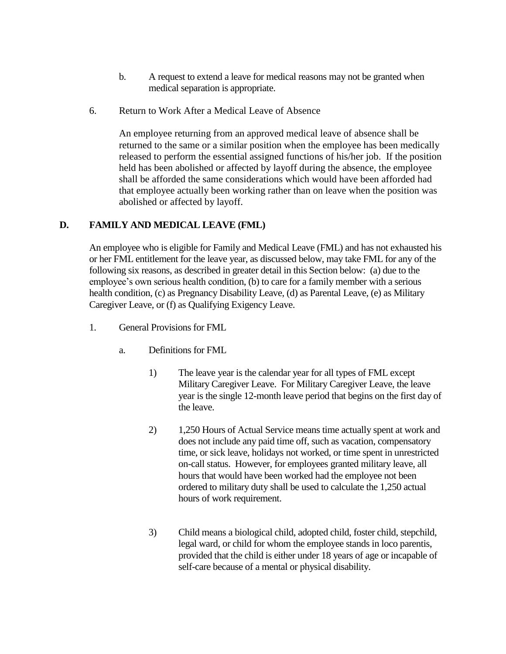- b. A request to extend a leave for medical reasons may not be granted when medical separation is appropriate.
- 6. Return to Work After a Medical Leave of Absence

An employee returning from an approved medical leave of absence shall be returned to the same or a similar position when the employee has been medically released to perform the essential assigned functions of his/her job. If the position held has been abolished or affected by layoff during the absence, the employee shall be afforded the same considerations which would have been afforded had that employee actually been working rather than on leave when the position was abolished or affected by layoff.

# **D. FAMILY AND MEDICAL LEAVE (FML)**

An employee who is eligible for Family and Medical Leave (FML) and has not exhausted his or her FML entitlement for the leave year, as discussed below, may take FML for any of the following six reasons, as described in greater detail in this Section below: (a) due to the employee's own serious health condition, (b) to care for a family member with a serious health condition, (c) as Pregnancy Disability Leave, (d) as Parental Leave, (e) as Military Caregiver Leave, or (f) as Qualifying Exigency Leave.

- 1. General Provisions for FML
	- a. Definitions for FML
		- 1) The leave year is the calendar year for all types of FML except Military Caregiver Leave. For Military Caregiver Leave, the leave year is the single 12-month leave period that begins on the first day of the leave.
		- 2) 1,250 Hours of Actual Service means time actually spent at work and does not include any paid time off, such as vacation, compensatory time, or sick leave, holidays not worked, or time spent in unrestricted on-call status. However, for employees granted military leave, all hours that would have been worked had the employee not been ordered to military duty shall be used to calculate the 1,250 actual hours of work requirement.
		- 3) Child means a biological child, adopted child, foster child, stepchild, legal ward, or child for whom the employee stands in loco parentis, provided that the child is either under 18 years of age or incapable of self-care because of a mental or physical disability.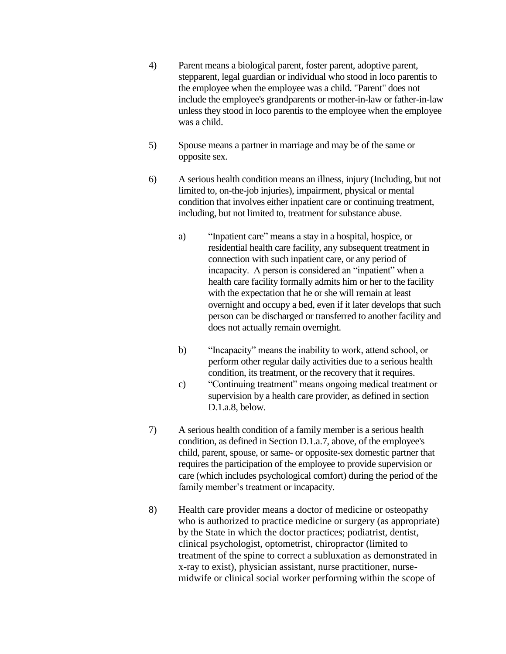- 4) Parent means a biological parent, foster parent, adoptive parent, stepparent, legal guardian or individual who stood in loco parentis to the employee when the employee was a child. "Parent" does not include the employee's grandparents or mother-in-law or father-in-law unless they stood in loco parentis to the employee when the employee was a child.
- 5) Spouse means a partner in marriage and may be of the same or opposite sex.
- 6) A serious health condition means an illness, injury (Including, but not limited to, on-the-job injuries), impairment, physical or mental condition that involves either inpatient care or continuing treatment, including, but not limited to, treatment for substance abuse.
	- a) "Inpatient care" means a stay in a hospital, hospice, or residential health care facility, any subsequent treatment in connection with such inpatient care, or any period of incapacity. A person is considered an "inpatient" when a health care facility formally admits him or her to the facility with the expectation that he or she will remain at least overnight and occupy a bed, even if it later develops that such person can be discharged or transferred to another facility and does not actually remain overnight.
	- b) "Incapacity" means the inability to work, attend school, or perform other regular daily activities due to a serious health condition, its treatment, or the recovery that it requires.
	- c) "Continuing treatment" means ongoing medical treatment or supervision by a health care provider, as defined in section D.1.a.8, below.
- 7) A serious health condition of a family member is a serious health condition, as defined in Section D.1.a.7, above, of the employee's child, parent, spouse, or same- or opposite-sex domestic partner that requires the participation of the employee to provide supervision or care (which includes psychological comfort) during the period of the family member's treatment or incapacity.
- 8) Health care provider means a doctor of medicine or osteopathy who is authorized to practice medicine or surgery (as appropriate) by the State in which the doctor practices; podiatrist, dentist, clinical psychologist, optometrist, chiropractor (limited to treatment of the spine to correct a subluxation as demonstrated in x-ray to exist), physician assistant, nurse practitioner, nursemidwife or clinical social worker performing within the scope of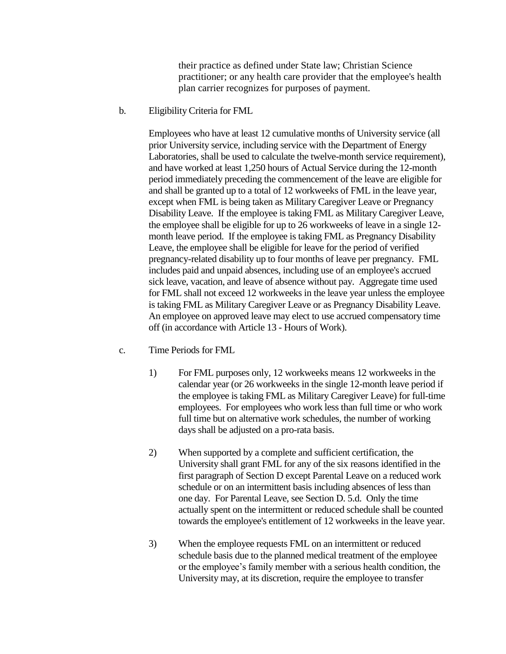their practice as defined under State law; Christian Science practitioner; or any health care provider that the employee's health plan carrier recognizes for purposes of payment.

b. Eligibility Criteria for FML

Employees who have at least 12 cumulative months of University service (all prior University service, including service with the Department of Energy Laboratories, shall be used to calculate the twelve-month service requirement), and have worked at least 1,250 hours of Actual Service during the 12-month period immediately preceding the commencement of the leave are eligible for and shall be granted up to a total of 12 workweeks of FML in the leave year, except when FML is being taken as Military Caregiver Leave or Pregnancy Disability Leave. If the employee is taking FML as Military Caregiver Leave, the employee shall be eligible for up to 26 workweeks of leave in a single 12 month leave period. If the employee is taking FML as Pregnancy Disability Leave, the employee shall be eligible for leave for the period of verified pregnancy-related disability up to four months of leave per pregnancy. FML includes paid and unpaid absences, including use of an employee's accrued sick leave, vacation, and leave of absence without pay. Aggregate time used for FML shall not exceed 12 workweeks in the leave year unless the employee is taking FML as Military Caregiver Leave or as Pregnancy Disability Leave. An employee on approved leave may elect to use accrued compensatory time off (in accordance with Article 13 - Hours of Work).

- c. Time Periods for FML
	- 1) For FML purposes only, 12 workweeks means 12 workweeks in the calendar year (or 26 workweeks in the single 12-month leave period if the employee is taking FML as Military Caregiver Leave) for full-time employees. For employees who work less than full time or who work full time but on alternative work schedules, the number of working days shall be adjusted on a pro-rata basis.
	- 2) When supported by a complete and sufficient certification, the University shall grant FML for any of the six reasons identified in the first paragraph of Section D except Parental Leave on a reduced work schedule or on an intermittent basis including absences of less than one day. For Parental Leave, see Section D. 5.d. Only the time actually spent on the intermittent or reduced schedule shall be counted towards the employee's entitlement of 12 workweeks in the leave year.
	- 3) When the employee requests FML on an intermittent or reduced schedule basis due to the planned medical treatment of the employee or the employee's family member with a serious health condition, the University may, at its discretion, require the employee to transfer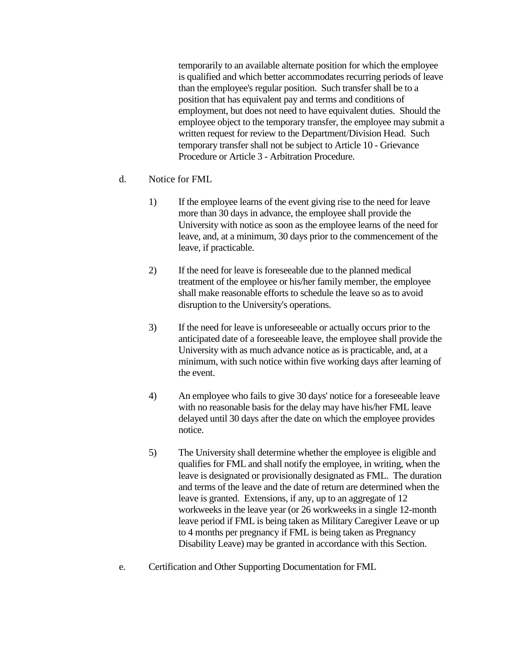temporarily to an available alternate position for which the employee is qualified and which better accommodates recurring periods of leave than the employee's regular position. Such transfer shall be to a position that has equivalent pay and terms and conditions of employment, but does not need to have equivalent duties. Should the employee object to the temporary transfer, the employee may submit a written request for review to the Department/Division Head. Such temporary transfer shall not be subject to Article 10 - Grievance Procedure or Article 3 - Arbitration Procedure.

- d. Notice for FML
	- 1) If the employee learns of the event giving rise to the need for leave more than 30 days in advance, the employee shall provide the University with notice as soon as the employee learns of the need for leave, and, at a minimum, 30 days prior to the commencement of the leave, if practicable.
	- 2) If the need for leave is foreseeable due to the planned medical treatment of the employee or his/her family member, the employee shall make reasonable efforts to schedule the leave so as to avoid disruption to the University's operations.
	- 3) If the need for leave is unforeseeable or actually occurs prior to the anticipated date of a foreseeable leave, the employee shall provide the University with as much advance notice as is practicable, and, at a minimum, with such notice within five working days after learning of the event.
	- 4) An employee who fails to give 30 days' notice for a foreseeable leave with no reasonable basis for the delay may have his/her FML leave delayed until 30 days after the date on which the employee provides notice.
	- 5) The University shall determine whether the employee is eligible and qualifies for FML and shall notify the employee, in writing, when the leave is designated or provisionally designated as FML. The duration and terms of the leave and the date of return are determined when the leave is granted. Extensions, if any, up to an aggregate of 12 workweeks in the leave year (or 26 workweeks in a single 12-month leave period if FML is being taken as Military Caregiver Leave or up to 4 months per pregnancy if FML is being taken as Pregnancy Disability Leave) may be granted in accordance with this Section.
- e. Certification and Other Supporting Documentation for FML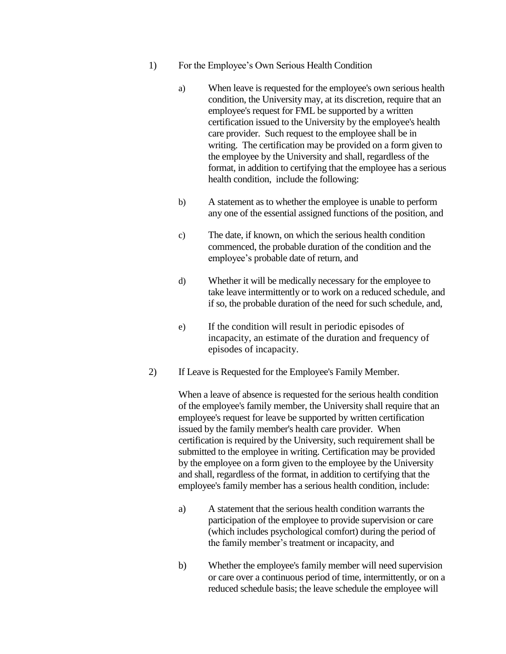- 1) For the Employee's Own Serious Health Condition
	- a) When leave is requested for the employee's own serious health condition, the University may, at its discretion, require that an employee's request for FML be supported by a written certification issued to the University by the employee's health care provider. Such request to the employee shall be in writing. The certification may be provided on a form given to the employee by the University and shall, regardless of the format, in addition to certifying that the employee has a serious health condition, include the following:
	- b) A statement as to whether the employee is unable to perform any one of the essential assigned functions of the position, and
	- c) The date, if known, on which the serious health condition commenced, the probable duration of the condition and the employee's probable date of return, and
	- d) Whether it will be medically necessary for the employee to take leave intermittently or to work on a reduced schedule, and if so, the probable duration of the need for such schedule, and,
	- e) If the condition will result in periodic episodes of incapacity, an estimate of the duration and frequency of episodes of incapacity.
- 2) If Leave is Requested for the Employee's Family Member.

When a leave of absence is requested for the serious health condition of the employee's family member, the University shall require that an employee's request for leave be supported by written certification issued by the family member's health care provider. When certification is required by the University, such requirement shall be submitted to the employee in writing. Certification may be provided by the employee on a form given to the employee by the University and shall, regardless of the format, in addition to certifying that the employee's family member has a serious health condition, include:

- a) A statement that the serious health condition warrants the participation of the employee to provide supervision or care (which includes psychological comfort) during the period of the family member's treatment or incapacity, and
- b) Whether the employee's family member will need supervision or care over a continuous period of time, intermittently, or on a reduced schedule basis; the leave schedule the employee will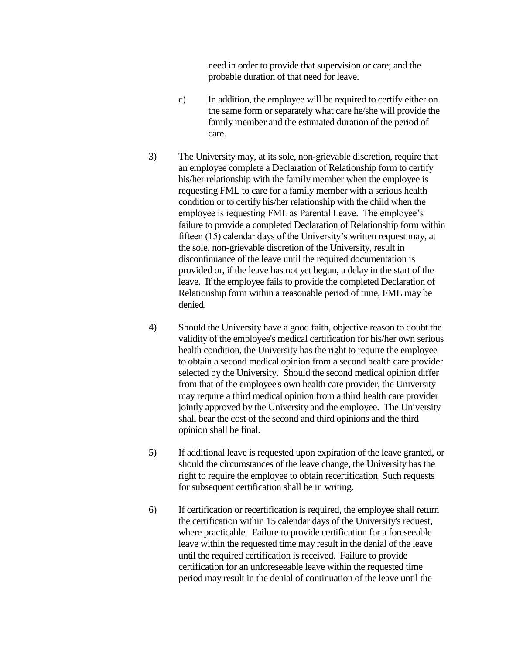need in order to provide that supervision or care; and the probable duration of that need for leave.

- c) In addition, the employee will be required to certify either on the same form or separately what care he/she will provide the family member and the estimated duration of the period of care.
- 3) The University may, at its sole, non-grievable discretion, require that an employee complete a Declaration of Relationship form to certify his/her relationship with the family member when the employee is requesting FML to care for a family member with a serious health condition or to certify his/her relationship with the child when the employee is requesting FML as Parental Leave. The employee's failure to provide a completed Declaration of Relationship form within fifteen (15) calendar days of the University's written request may, at the sole, non-grievable discretion of the University, result in discontinuance of the leave until the required documentation is provided or, if the leave has not yet begun, a delay in the start of the leave. If the employee fails to provide the completed Declaration of Relationship form within a reasonable period of time, FML may be denied.
- 4) Should the University have a good faith, objective reason to doubt the validity of the employee's medical certification for his/her own serious health condition, the University has the right to require the employee to obtain a second medical opinion from a second health care provider selected by the University. Should the second medical opinion differ from that of the employee's own health care provider, the University may require a third medical opinion from a third health care provider jointly approved by the University and the employee. The University shall bear the cost of the second and third opinions and the third opinion shall be final.
- 5) If additional leave is requested upon expiration of the leave granted, or should the circumstances of the leave change, the University has the right to require the employee to obtain recertification. Such requests for subsequent certification shall be in writing.
- 6) If certification or recertification is required, the employee shall return the certification within 15 calendar days of the University's request, where practicable. Failure to provide certification for a foreseeable leave within the requested time may result in the denial of the leave until the required certification is received. Failure to provide certification for an unforeseeable leave within the requested time period may result in the denial of continuation of the leave until the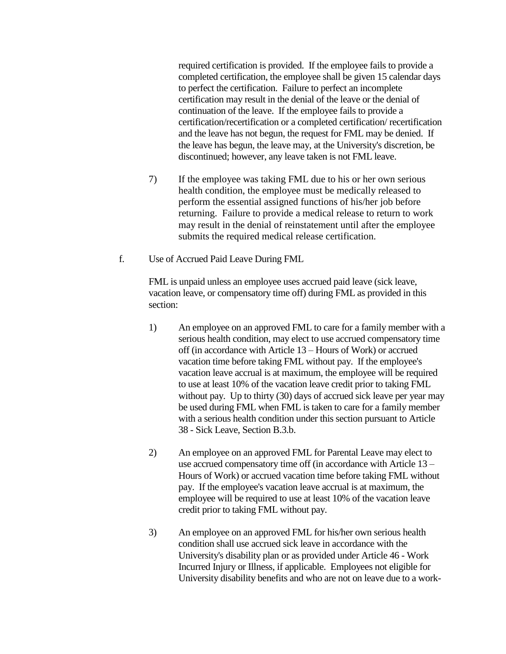required certification is provided. If the employee fails to provide a completed certification, the employee shall be given 15 calendar days to perfect the certification. Failure to perfect an incomplete certification may result in the denial of the leave or the denial of continuation of the leave. If the employee fails to provide a certification/recertification or a completed certification/ recertification and the leave has not begun, the request for FML may be denied. If the leave has begun, the leave may, at the University's discretion, be discontinued; however, any leave taken is not FML leave.

- 7) If the employee was taking FML due to his or her own serious health condition, the employee must be medically released to perform the essential assigned functions of his/her job before returning. Failure to provide a medical release to return to work may result in the denial of reinstatement until after the employee submits the required medical release certification.
- f. Use of Accrued Paid Leave During FML

FML is unpaid unless an employee uses accrued paid leave (sick leave, vacation leave, or compensatory time off) during FML as provided in this section:

- 1) An employee on an approved FML to care for a family member with a serious health condition, may elect to use accrued compensatory time off (in accordance with Article 13 – Hours of Work) or accrued vacation time before taking FML without pay. If the employee's vacation leave accrual is at maximum, the employee will be required to use at least 10% of the vacation leave credit prior to taking FML without pay. Up to thirty (30) days of accrued sick leave per year may be used during FML when FML is taken to care for a family member with a serious health condition under this section pursuant to Article 38 - Sick Leave, Section B.3.b.
- 2) An employee on an approved FML for Parental Leave may elect to use accrued compensatory time off (in accordance with Article 13 – Hours of Work) or accrued vacation time before taking FML without pay. If the employee's vacation leave accrual is at maximum, the employee will be required to use at least 10% of the vacation leave credit prior to taking FML without pay.
- 3) An employee on an approved FML for his/her own serious health condition shall use accrued sick leave in accordance with the University's disability plan or as provided under Article 46 - Work Incurred Injury or Illness, if applicable. Employees not eligible for University disability benefits and who are not on leave due to a work-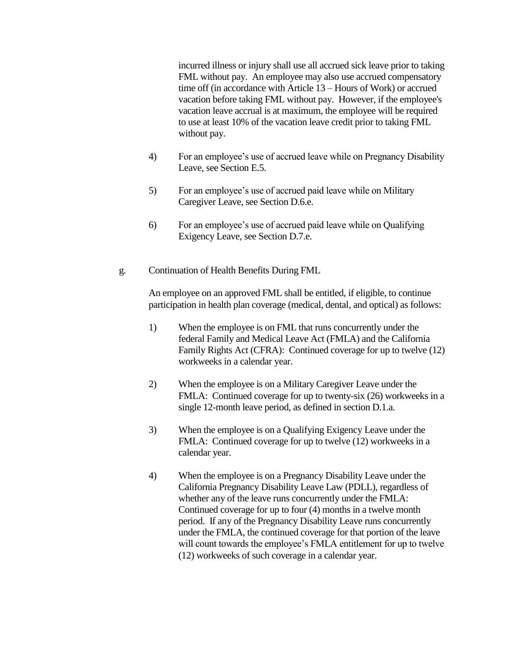incurred illness or injury shall use all accrued sick leave prior to taking FML without pay. An employee may also use accrued compensatory time off (in accordance with Article 13 – Hours of Work) or accrued vacation before taking FML without pay. However, if the employee's vacation leave accrual is at maximum, the employee will be required to use at least 10% of the vacation leave credit prior to taking FML without pay.

- 4) For an employee's use of accrued leave while on Pregnancy Disability Leave, see Section E.5.
- 5) For an employee's use of accrued paid leave while on Military Caregiver Leave, see Section D.6.e.
- 6) For an employee's use of accrued paid leave while on Qualifying Exigency Leave, see Section D.7.e.
- g. Continuation of Health Benefits During FML

An employee on an approved FML shall be entitled, if eligible, to continue participation in health plan coverage (medical, dental, and optical) as follows:

- 1) When the employee is on FML that runs concurrently under the federal Family and Medical Leave Act (FMLA) and the California Family Rights Act (CFRA): Continued coverage for up to twelve (12) workweeks in a calendar year.
- 2) When the employee is on a Military Caregiver Leave under the FMLA: Continued coverage for up to twenty-six (26) workweeks in a single 12-month leave period, as defined in section D.1.a.
- 3) When the employee is on a Qualifying Exigency Leave under the FMLA: Continued coverage for up to twelve (12) workweeks in a calendar year.
- 4) When the employee is on a Pregnancy Disability Leave under the California Pregnancy Disability Leave Law (PDLL), regardless of whether any of the leave runs concurrently under the FMLA: Continued coverage for up to four (4) months in a twelve month period. If any of the Pregnancy Disability Leave runs concurrently under the FMLA, the continued coverage for that portion of the leave will count towards the employee's FMLA entitlement for up to twelve (12) workweeks of such coverage in a calendar year.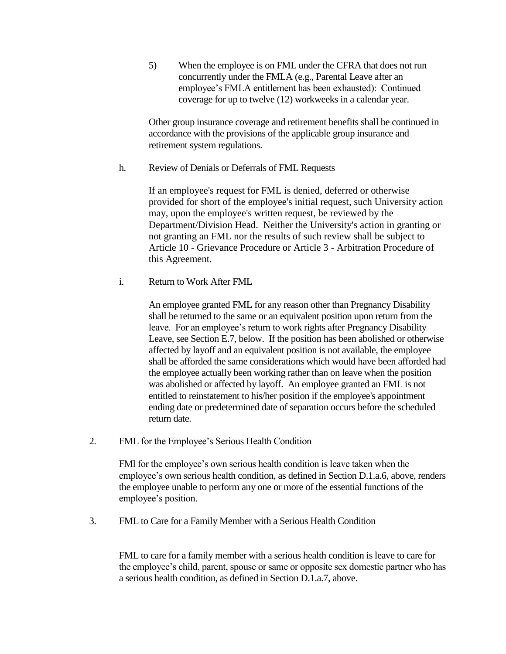5) When the employee is on FML under the CFRA that does not run concurrently under the FMLA (e.g., Parental Leave after an employee's FMLA entitlement has been exhausted): Continued coverage for up to twelve (12) workweeks in a calendar year.

Other group insurance coverage and retirement benefits shall be continued in accordance with the provisions of the applicable group insurance and retirement system regulations.

h. Review of Denials or Deferrals of FML Requests

If an employee's request for FML is denied, deferred or otherwise provided for short of the employee's initial request, such University action may, upon the employee's written request, be reviewed by the Department/Division Head. Neither the University's action in granting or not granting an FML nor the results of such review shall be subject to Article 10 - Grievance Procedure or Article 3 - Arbitration Procedure of this Agreement.

i. Return to Work After FML

An employee granted FML for any reason other than Pregnancy Disability shall be returned to the same or an equivalent position upon return from the leave. For an employee's return to work rights after Pregnancy Disability Leave, see Section E.7, below. If the position has been abolished or otherwise affected by layoff and an equivalent position is not available, the employee shall be afforded the same considerations which would have been afforded had the employee actually been working rather than on leave when the position was abolished or affected by layoff. An employee granted an FML is not entitled to reinstatement to his/her position if the employee's appointment ending date or predetermined date of separation occurs before the scheduled return date.

2. FML for the Employee's Serious Health Condition

FMl for the employee's own serious health condition is leave taken when the employee's own serious health condition, as defined in Section D.1.a.6, above, renders the employee unable to perform any one or more of the essential functions of the employee's position.

3. FML to Care for a Family Member with a Serious Health Condition

FML to care for a family member with a serious health condition is leave to care for the employee's child, parent, spouse or same or opposite sex domestic partner who has a serious health condition, as defined in Section D.1.a.7, above.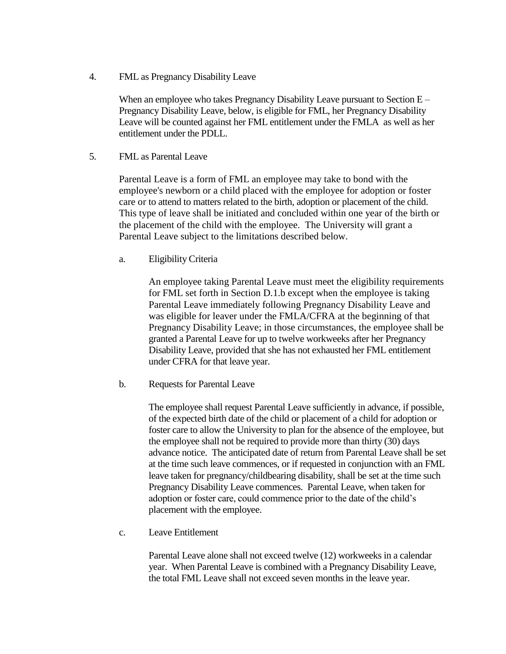4. FML as Pregnancy Disability Leave

When an employee who takes Pregnancy Disability Leave pursuant to Section E – Pregnancy Disability Leave, below, is eligible for FML, her Pregnancy Disability Leave will be counted against her FML entitlement under the FMLA as well as her entitlement under the PDLL.

5. FML as Parental Leave

Parental Leave is a form of FML an employee may take to bond with the employee's newborn or a child placed with the employee for adoption or foster care or to attend to matters related to the birth, adoption or placement of the child. This type of leave shall be initiated and concluded within one year of the birth or the placement of the child with the employee. The University will grant a Parental Leave subject to the limitations described below.

a. Eligibility Criteria

An employee taking Parental Leave must meet the eligibility requirements for FML set forth in Section D.1.b except when the employee is taking Parental Leave immediately following Pregnancy Disability Leave and was eligible for leaver under the FMLA/CFRA at the beginning of that Pregnancy Disability Leave; in those circumstances, the employee shall be granted a Parental Leave for up to twelve workweeks after her Pregnancy Disability Leave, provided that she has not exhausted her FML entitlement under CFRA for that leave year.

b. Requests for Parental Leave

The employee shall request Parental Leave sufficiently in advance, if possible, of the expected birth date of the child or placement of a child for adoption or foster care to allow the University to plan for the absence of the employee, but the employee shall not be required to provide more than thirty (30) days advance notice. The anticipated date of return from Parental Leave shall be set at the time such leave commences, or if requested in conjunction with an FML leave taken for pregnancy/childbearing disability, shall be set at the time such Pregnancy Disability Leave commences. Parental Leave, when taken for adoption or foster care, could commence prior to the date of the child's placement with the employee.

c. Leave Entitlement

Parental Leave alone shall not exceed twelve (12) workweeks in a calendar year. When Parental Leave is combined with a Pregnancy Disability Leave, the total FML Leave shall not exceed seven months in the leave year.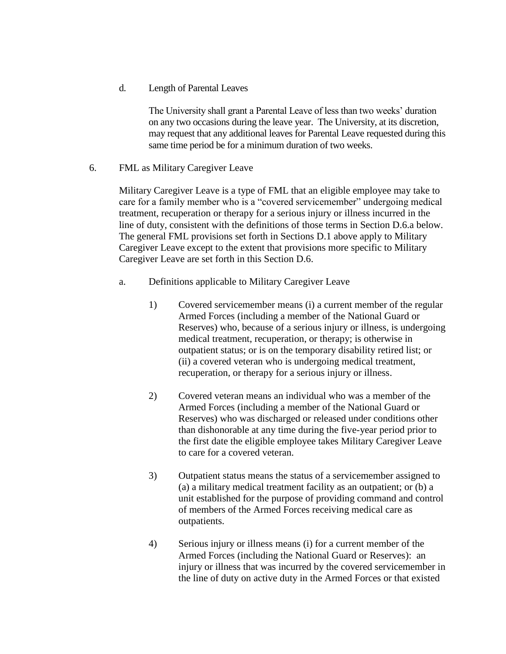d. Length of Parental Leaves

The University shall grant a Parental Leave of less than two weeks' duration on any two occasions during the leave year. The University, at its discretion, may request that any additional leaves for Parental Leave requested during this same time period be for a minimum duration of two weeks.

6. FML as Military Caregiver Leave

Military Caregiver Leave is a type of FML that an eligible employee may take to care for a family member who is a "covered servicemember" undergoing medical treatment, recuperation or therapy for a serious injury or illness incurred in the line of duty, consistent with the definitions of those terms in Section D.6.a below. The general FML provisions set forth in Sections D.1 above apply to Military Caregiver Leave except to the extent that provisions more specific to Military Caregiver Leave are set forth in this Section D.6.

- a. Definitions applicable to Military Caregiver Leave
	- 1) Covered servicemember means (i) a current member of the regular Armed Forces (including a member of the National Guard or Reserves) who, because of a serious injury or illness, is undergoing medical treatment, recuperation, or therapy; is otherwise in outpatient status; or is on the temporary disability retired list; or (ii) a covered veteran who is undergoing medical treatment, recuperation, or therapy for a serious injury or illness.
	- 2) Covered veteran means an individual who was a member of the Armed Forces (including a member of the National Guard or Reserves) who was discharged or released under conditions other than dishonorable at any time during the five-year period prior to the first date the eligible employee takes Military Caregiver Leave to care for a covered veteran.
	- 3) Outpatient status means the status of a servicemember assigned to (a) a military medical treatment facility as an outpatient; or (b) a unit established for the purpose of providing command and control of members of the Armed Forces receiving medical care as outpatients.
	- 4) Serious injury or illness means (i) for a current member of the Armed Forces (including the National Guard or Reserves): an injury or illness that was incurred by the covered servicemember in the line of duty on active duty in the Armed Forces or that existed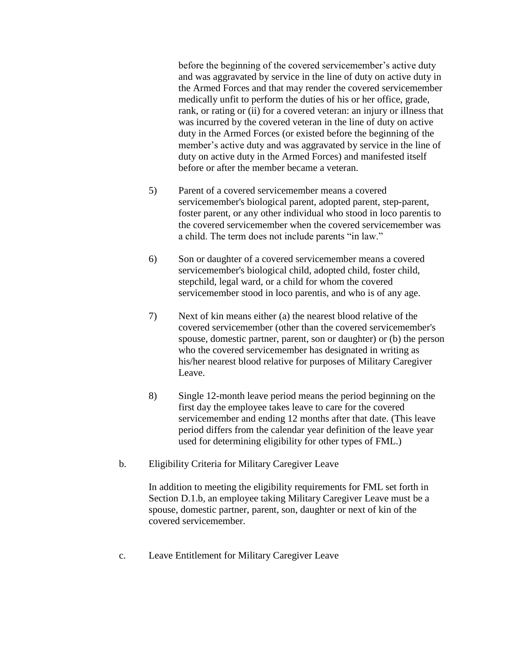before the beginning of the covered servicemember's active duty and was aggravated by service in the line of duty on active duty in the Armed Forces and that may render the covered servicemember medically unfit to perform the duties of his or her office, grade, rank, or rating or (ii) for a covered veteran: an injury or illness that was incurred by the covered veteran in the line of duty on active duty in the Armed Forces (or existed before the beginning of the member's active duty and was aggravated by service in the line of duty on active duty in the Armed Forces) and manifested itself before or after the member became a veteran.

- 5) Parent of a covered servicemember means a covered servicemember's biological parent, adopted parent, step-parent, foster parent, or any other individual who stood in loco parentis to the covered servicemember when the covered servicemember was a child. The term does not include parents "in law."
- 6) Son or daughter of a covered servicemember means a covered servicemember's biological child, adopted child, foster child, stepchild, legal ward, or a child for whom the covered servicemember stood in loco parentis, and who is of any age.
- 7) Next of kin means either (a) the nearest blood relative of the covered servicemember (other than the covered servicemember's spouse, domestic partner, parent, son or daughter) or (b) the person who the covered servicemember has designated in writing as his/her nearest blood relative for purposes of Military Caregiver Leave.
- 8) Single 12-month leave period means the period beginning on the first day the employee takes leave to care for the covered servicemember and ending 12 months after that date. (This leave period differs from the calendar year definition of the leave year used for determining eligibility for other types of FML.)
- b. Eligibility Criteria for Military Caregiver Leave

In addition to meeting the eligibility requirements for FML set forth in Section D.1.b, an employee taking Military Caregiver Leave must be a spouse, domestic partner, parent, son, daughter or next of kin of the covered servicemember.

c. Leave Entitlement for Military Caregiver Leave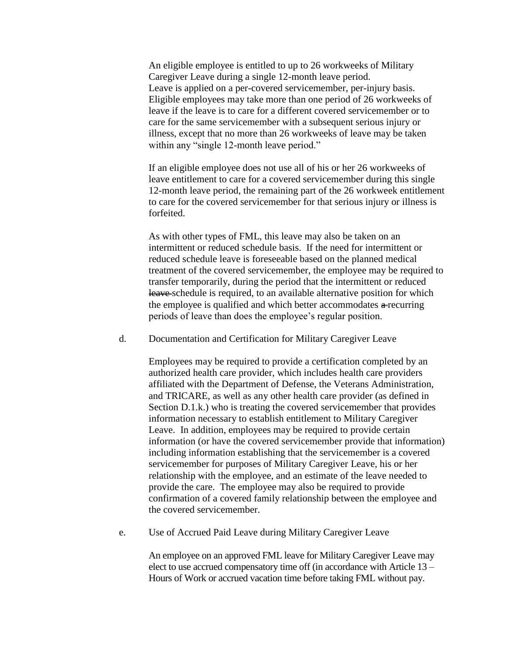An eligible employee is entitled to up to 26 workweeks of Military Caregiver Leave during a single 12-month leave period. Leave is applied on a per-covered servicemember, per-injury basis. Eligible employees may take more than one period of 26 workweeks of leave if the leave is to care for a different covered servicemember or to care for the same servicemember with a subsequent serious injury or illness, except that no more than 26 workweeks of leave may be taken within any "single 12-month leave period."

If an eligible employee does not use all of his or her 26 workweeks of leave entitlement to care for a covered servicemember during this single 12-month leave period, the remaining part of the 26 workweek entitlement to care for the covered servicemember for that serious injury or illness is forfeited.

As with other types of FML, this leave may also be taken on an intermittent or reduced schedule basis. If the need for intermittent or reduced schedule leave is foreseeable based on the planned medical treatment of the covered servicemember, the employee may be required to transfer temporarily, during the period that the intermittent or reduced leave-schedule is required, to an available alternative position for which the employee is qualified and which better accommodates  $\triangleq$  recurring periods of leave than does the employee's regular position.

d. Documentation and Certification for Military Caregiver Leave

Employees may be required to provide a certification completed by an authorized health care provider, which includes health care providers affiliated with the Department of Defense, the Veterans Administration, and TRICARE, as well as any other health care provider (as defined in Section D.1.k.) who is treating the covered servicemember that provides information necessary to establish entitlement to Military Caregiver Leave. In addition, employees may be required to provide certain information (or have the covered servicemember provide that information) including information establishing that the servicemember is a covered servicemember for purposes of Military Caregiver Leave, his or her relationship with the employee, and an estimate of the leave needed to provide the care. The employee may also be required to provide confirmation of a covered family relationship between the employee and the covered servicemember.

e. Use of Accrued Paid Leave during Military Caregiver Leave

An employee on an approved FML leave for Military Caregiver Leave may elect to use accrued compensatory time off (in accordance with Article 13 – Hours of Work or accrued vacation time before taking FML without pay.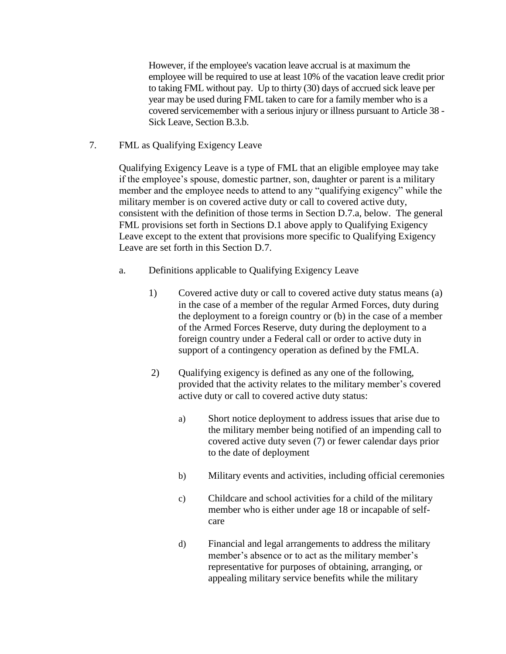However, if the employee's vacation leave accrual is at maximum the employee will be required to use at least 10% of the vacation leave credit prior to taking FML without pay. Up to thirty (30) days of accrued sick leave per year may be used during FML taken to care for a family member who is a covered servicemember with a serious injury or illness pursuant to Article 38 - Sick Leave, Section B.3.b.

7. FML as Qualifying Exigency Leave

Qualifying Exigency Leave is a type of FML that an eligible employee may take if the employee's spouse, domestic partner, son, daughter or parent is a military member and the employee needs to attend to any "qualifying exigency" while the military member is on covered active duty or call to covered active duty, consistent with the definition of those terms in Section D.7.a, below. The general FML provisions set forth in Sections D.1 above apply to Qualifying Exigency Leave except to the extent that provisions more specific to Qualifying Exigency Leave are set forth in this Section D.7.

- a. Definitions applicable to Qualifying Exigency Leave
	- 1) Covered active duty or call to covered active duty status means (a) in the case of a member of the regular Armed Forces, duty during the deployment to a foreign country or (b) in the case of a member of the Armed Forces Reserve, duty during the deployment to a foreign country under a Federal call or order to active duty in support of a contingency operation as defined by the FMLA.
	- 2) Oualifying exigency is defined as any one of the following, provided that the activity relates to the military member's covered active duty or call to covered active duty status:
		- a) Short notice deployment to address issues that arise due to the military member being notified of an impending call to covered active duty seven (7) or fewer calendar days prior to the date of deployment
		- b) Military events and activities, including official ceremonies
		- c) Childcare and school activities for a child of the military member who is either under age 18 or incapable of selfcare
		- d) Financial and legal arrangements to address the military member's absence or to act as the military member's representative for purposes of obtaining, arranging, or appealing military service benefits while the military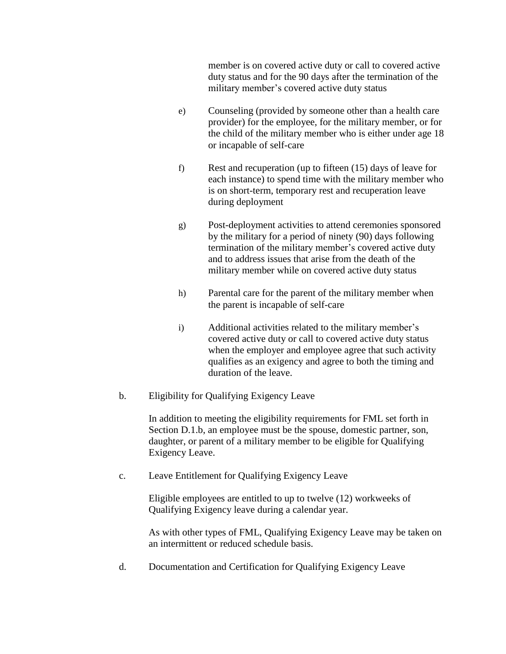member is on covered active duty or call to covered active duty status and for the 90 days after the termination of the military member's covered active duty status

- e) Counseling (provided by someone other than a health care provider) for the employee, for the military member, or for the child of the military member who is either under age 18 or incapable of self-care
- f) Rest and recuperation (up to fifteen (15) days of leave for each instance) to spend time with the military member who is on short-term, temporary rest and recuperation leave during deployment
- g) Post-deployment activities to attend ceremonies sponsored by the military for a period of ninety (90) days following termination of the military member's covered active duty and to address issues that arise from the death of the military member while on covered active duty status
- h) Parental care for the parent of the military member when the parent is incapable of self-care
- i) Additional activities related to the military member's covered active duty or call to covered active duty status when the employer and employee agree that such activity qualifies as an exigency and agree to both the timing and duration of the leave.
- b. Eligibility for Qualifying Exigency Leave

In addition to meeting the eligibility requirements for FML set forth in Section D.1.b, an employee must be the spouse, domestic partner, son, daughter, or parent of a military member to be eligible for Qualifying Exigency Leave.

c. Leave Entitlement for Qualifying Exigency Leave

Eligible employees are entitled to up to twelve (12) workweeks of Qualifying Exigency leave during a calendar year.

As with other types of FML, Qualifying Exigency Leave may be taken on an intermittent or reduced schedule basis.

d. Documentation and Certification for Qualifying Exigency Leave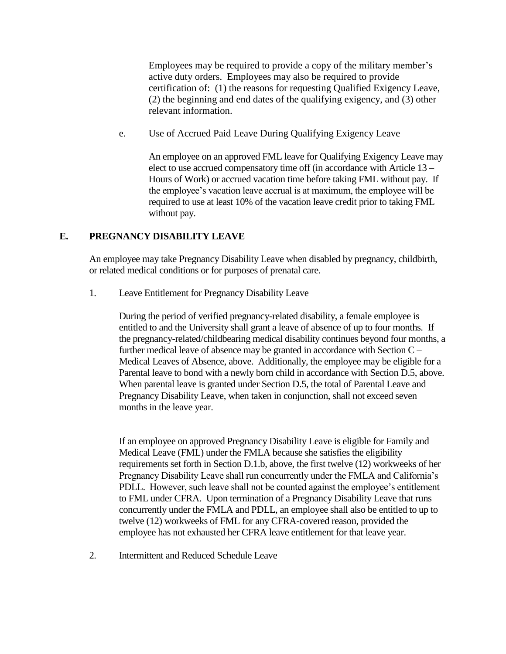Employees may be required to provide a copy of the military member's active duty orders. Employees may also be required to provide certification of: (1) the reasons for requesting Qualified Exigency Leave, (2) the beginning and end dates of the qualifying exigency, and (3) other relevant information.

e. Use of Accrued Paid Leave During Qualifying Exigency Leave

An employee on an approved FML leave for Qualifying Exigency Leave may elect to use accrued compensatory time off (in accordance with Article 13 – Hours of Work) or accrued vacation time before taking FML without pay. If the employee's vacation leave accrual is at maximum, the employee will be required to use at least 10% of the vacation leave credit prior to taking FML without pay.

#### **E. PREGNANCY DISABILITY LEAVE**

An employee may take Pregnancy Disability Leave when disabled by pregnancy, childbirth, or related medical conditions or for purposes of prenatal care.

1. Leave Entitlement for Pregnancy Disability Leave

During the period of verified pregnancy-related disability, a female employee is entitled to and the University shall grant a leave of absence of up to four months. If the pregnancy-related/childbearing medical disability continues beyond four months, a further medical leave of absence may be granted in accordance with Section C – Medical Leaves of Absence, above. Additionally, the employee may be eligible for a Parental leave to bond with a newly born child in accordance with Section D.5, above. When parental leave is granted under Section D.5, the total of Parental Leave and Pregnancy Disability Leave, when taken in conjunction, shall not exceed seven months in the leave year.

If an employee on approved Pregnancy Disability Leave is eligible for Family and Medical Leave (FML) under the FMLA because she satisfies the eligibility requirements set forth in Section D.1.b, above, the first twelve (12) workweeks of her Pregnancy Disability Leave shall run concurrently under the FMLA and California's PDLL. However, such leave shall not be counted against the employee's entitlement to FML under CFRA. Upon termination of a Pregnancy Disability Leave that runs concurrently under the FMLA and PDLL, an employee shall also be entitled to up to twelve (12) workweeks of FML for any CFRA-covered reason, provided the employee has not exhausted her CFRA leave entitlement for that leave year.

2. Intermittent and Reduced Schedule Leave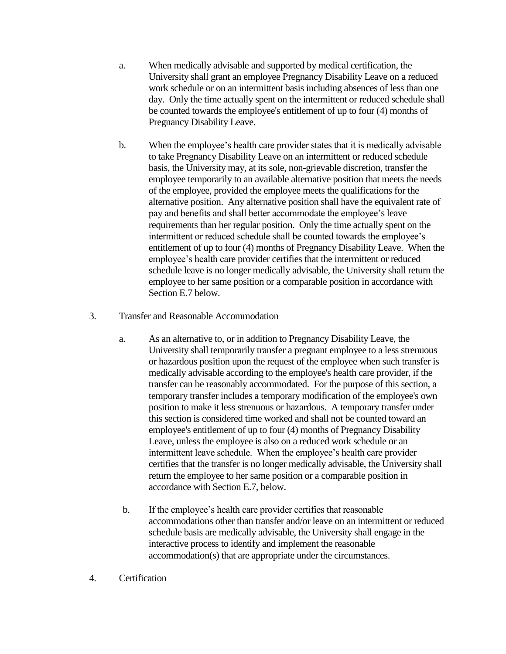- a. When medically advisable and supported by medical certification, the University shall grant an employee Pregnancy Disability Leave on a reduced work schedule or on an intermittent basis including absences of less than one day. Only the time actually spent on the intermittent or reduced schedule shall be counted towards the employee's entitlement of up to four (4) months of Pregnancy Disability Leave.
- b. When the employee's health care provider states that it is medically advisable to take Pregnancy Disability Leave on an intermittent or reduced schedule basis, the University may, at its sole, non-grievable discretion, transfer the employee temporarily to an available alternative position that meets the needs of the employee, provided the employee meets the qualifications for the alternative position. Any alternative position shall have the equivalent rate of pay and benefits and shall better accommodate the employee's leave requirements than her regular position. Only the time actually spent on the intermittent or reduced schedule shall be counted towards the employee's entitlement of up to four (4) months of Pregnancy Disability Leave. When the employee's health care provider certifies that the intermittent or reduced schedule leave is no longer medically advisable, the University shall return the employee to her same position or a comparable position in accordance with Section E.7 below.
- 3. Transfer and Reasonable Accommodation
	- a. As an alternative to, or in addition to Pregnancy Disability Leave, the University shall temporarily transfer a pregnant employee to a less strenuous or hazardous position upon the request of the employee when such transfer is medically advisable according to the employee's health care provider, if the transfer can be reasonably accommodated. For the purpose of this section, a temporary transfer includes a temporary modification of the employee's own position to make it less strenuous or hazardous. A temporary transfer under this section is considered time worked and shall not be counted toward an employee's entitlement of up to four (4) months of Pregnancy Disability Leave, unless the employee is also on a reduced work schedule or an intermittent leave schedule. When the employee's health care provider certifies that the transfer is no longer medically advisable, the University shall return the employee to her same position or a comparable position in accordance with Section E.7, below.
	- b. If the employee's health care provider certifies that reasonable accommodations other than transfer and/or leave on an intermittent or reduced schedule basis are medically advisable, the University shall engage in the interactive process to identify and implement the reasonable accommodation(s) that are appropriate under the circumstances.
- 4. Certification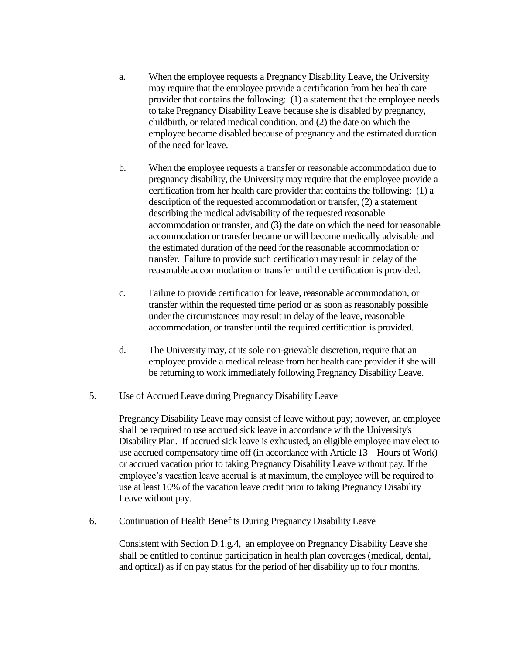- a. When the employee requests a Pregnancy Disability Leave, the University may require that the employee provide a certification from her health care provider that contains the following: (1) a statement that the employee needs to take Pregnancy Disability Leave because she is disabled by pregnancy, childbirth, or related medical condition, and (2) the date on which the employee became disabled because of pregnancy and the estimated duration of the need for leave.
- b. When the employee requests a transfer or reasonable accommodation due to pregnancy disability, the University may require that the employee provide a certification from her health care provider that contains the following: (1) a description of the requested accommodation or transfer, (2) a statement describing the medical advisability of the requested reasonable accommodation or transfer, and (3) the date on which the need for reasonable accommodation or transfer became or will become medically advisable and the estimated duration of the need for the reasonable accommodation or transfer. Failure to provide such certification may result in delay of the reasonable accommodation or transfer until the certification is provided.
- c. Failure to provide certification for leave, reasonable accommodation, or transfer within the requested time period or as soon as reasonably possible under the circumstances may result in delay of the leave, reasonable accommodation, or transfer until the required certification is provided.
- d. The University may, at its sole non-grievable discretion, require that an employee provide a medical release from her health care provider if she will be returning to work immediately following Pregnancy Disability Leave.
- 5. Use of Accrued Leave during Pregnancy Disability Leave

Pregnancy Disability Leave may consist of leave without pay; however, an employee shall be required to use accrued sick leave in accordance with the University's Disability Plan. If accrued sick leave is exhausted, an eligible employee may elect to use accrued compensatory time off (in accordance with Article 13 – Hours of Work) or accrued vacation prior to taking Pregnancy Disability Leave without pay. If the employee's vacation leave accrual is at maximum, the employee will be required to use at least 10% of the vacation leave credit prior to taking Pregnancy Disability Leave without pay.

6. Continuation of Health Benefits During Pregnancy Disability Leave

Consistent with Section D.1.g.4, an employee on Pregnancy Disability Leave she shall be entitled to continue participation in health plan coverages (medical, dental, and optical) as if on pay status for the period of her disability up to four months.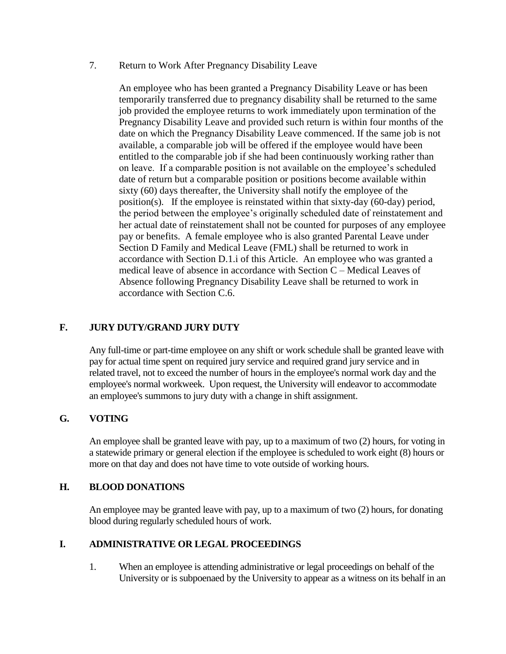7. Return to Work After Pregnancy Disability Leave

An employee who has been granted a Pregnancy Disability Leave or has been temporarily transferred due to pregnancy disability shall be returned to the same job provided the employee returns to work immediately upon termination of the Pregnancy Disability Leave and provided such return is within four months of the date on which the Pregnancy Disability Leave commenced. If the same job is not available, a comparable job will be offered if the employee would have been entitled to the comparable job if she had been continuously working rather than on leave. If a comparable position is not available on the employee's scheduled date of return but a comparable position or positions become available within sixty (60) days thereafter, the University shall notify the employee of the position(s). If the employee is reinstated within that sixty-day (60-day) period, the period between the employee's originally scheduled date of reinstatement and her actual date of reinstatement shall not be counted for purposes of any employee pay or benefits. A female employee who is also granted Parental Leave under Section D Family and Medical Leave (FML) shall be returned to work in accordance with Section D.1.i of this Article. An employee who was granted a medical leave of absence in accordance with Section C – Medical Leaves of Absence following Pregnancy Disability Leave shall be returned to work in accordance with Section C.6.

### **F. JURY DUTY/GRAND JURY DUTY**

Any full-time or part-time employee on any shift or work schedule shall be granted leave with pay for actual time spent on required jury service and required grand jury service and in related travel, not to exceed the number of hours in the employee's normal work day and the employee's normal workweek. Upon request, the University will endeavor to accommodate an employee's summons to jury duty with a change in shift assignment.

### **G. VOTING**

An employee shall be granted leave with pay, up to a maximum of two (2) hours, for voting in a statewide primary or general election if the employee is scheduled to work eight (8) hours or more on that day and does not have time to vote outside of working hours.

### **H. BLOOD DONATIONS**

An employee may be granted leave with pay, up to a maximum of two (2) hours, for donating blood during regularly scheduled hours of work.

### **I. ADMINISTRATIVE OR LEGAL PROCEEDINGS**

1. When an employee is attending administrative or legal proceedings on behalf of the University or is subpoenaed by the University to appear as a witness on its behalf in an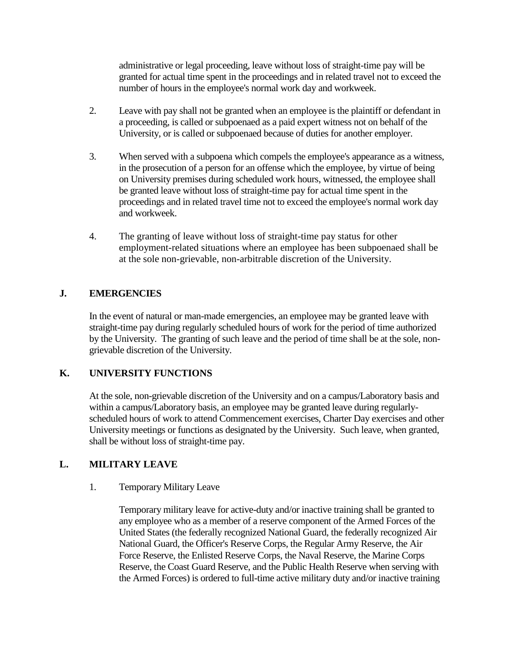administrative or legal proceeding, leave without loss of straight-time pay will be granted for actual time spent in the proceedings and in related travel not to exceed the number of hours in the employee's normal work day and workweek.

- 2. Leave with pay shall not be granted when an employee is the plaintiff or defendant in a proceeding, is called or subpoenaed as a paid expert witness not on behalf of the University, or is called or subpoenaed because of duties for another employer.
- 3. When served with a subpoena which compels the employee's appearance as a witness, in the prosecution of a person for an offense which the employee, by virtue of being on University premises during scheduled work hours, witnessed, the employee shall be granted leave without loss of straight-time pay for actual time spent in the proceedings and in related travel time not to exceed the employee's normal work day and workweek.
- 4. The granting of leave without loss of straight-time pay status for other employment-related situations where an employee has been subpoenaed shall be at the sole non-grievable, non-arbitrable discretion of the University.

# **J. EMERGENCIES**

In the event of natural or man-made emergencies, an employee may be granted leave with straight-time pay during regularly scheduled hours of work for the period of time authorized by the University. The granting of such leave and the period of time shall be at the sole, nongrievable discretion of the University.

### **K. UNIVERSITY FUNCTIONS**

At the sole, non-grievable discretion of the University and on a campus/Laboratory basis and within a campus/Laboratory basis, an employee may be granted leave during regularlyscheduled hours of work to attend Commencement exercises, Charter Day exercises and other University meetings or functions as designated by the University. Such leave, when granted, shall be without loss of straight-time pay.

### **L. MILITARY LEAVE**

### 1. Temporary Military Leave

Temporary military leave for active-duty and/or inactive training shall be granted to any employee who as a member of a reserve component of the Armed Forces of the United States (the federally recognized National Guard, the federally recognized Air National Guard, the Officer's Reserve Corps, the Regular Army Reserve, the Air Force Reserve, the Enlisted Reserve Corps, the Naval Reserve, the Marine Corps Reserve, the Coast Guard Reserve, and the Public Health Reserve when serving with the Armed Forces) is ordered to full-time active military duty and/or inactive training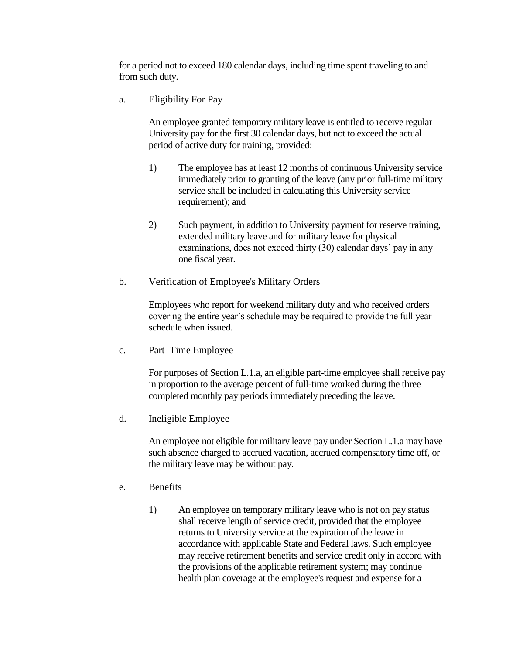for a period not to exceed 180 calendar days, including time spent traveling to and from such duty.

a. Eligibility For Pay

An employee granted temporary military leave is entitled to receive regular University pay for the first 30 calendar days, but not to exceed the actual period of active duty for training, provided:

- 1) The employee has at least 12 months of continuous University service immediately prior to granting of the leave (any prior full-time military service shall be included in calculating this University service requirement); and
- 2) Such payment, in addition to University payment for reserve training, extended military leave and for military leave for physical examinations, does not exceed thirty (30) calendar days' pay in any one fiscal year.
- b. Verification of Employee's Military Orders

Employees who report for weekend military duty and who received orders covering the entire year's schedule may be required to provide the full year schedule when issued.

c. Part–Time Employee

For purposes of Section L.1.a, an eligible part-time employee shall receive pay in proportion to the average percent of full-time worked during the three completed monthly pay periods immediately preceding the leave.

d. Ineligible Employee

An employee not eligible for military leave pay under Section L.1.a may have such absence charged to accrued vacation, accrued compensatory time off, or the military leave may be without pay.

- e. Benefits
	- 1) An employee on temporary military leave who is not on pay status shall receive length of service credit, provided that the employee returns to University service at the expiration of the leave in accordance with applicable State and Federal laws. Such employee may receive retirement benefits and service credit only in accord with the provisions of the applicable retirement system; may continue health plan coverage at the employee's request and expense for a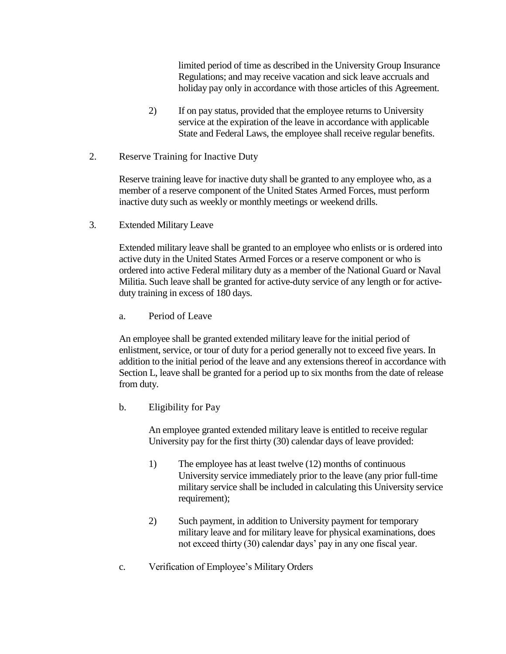limited period of time as described in the University Group Insurance Regulations; and may receive vacation and sick leave accruals and holiday pay only in accordance with those articles of this Agreement.

- 2) If on pay status, provided that the employee returns to University service at the expiration of the leave in accordance with applicable State and Federal Laws, the employee shall receive regular benefits.
- 2. Reserve Training for Inactive Duty

Reserve training leave for inactive duty shall be granted to any employee who, as a member of a reserve component of the United States Armed Forces, must perform inactive duty such as weekly or monthly meetings or weekend drills.

3. Extended Military Leave

Extended military leave shall be granted to an employee who enlists or is ordered into active duty in the United States Armed Forces or a reserve component or who is ordered into active Federal military duty as a member of the National Guard or Naval Militia. Such leave shall be granted for active-duty service of any length or for activeduty training in excess of 180 days.

a. Period of Leave

An employee shall be granted extended military leave for the initial period of enlistment, service, or tour of duty for a period generally not to exceed five years. In addition to the initial period of the leave and any extensions thereof in accordance with Section L, leave shall be granted for a period up to six months from the date of release from duty.

b. Eligibility for Pay

An employee granted extended military leave is entitled to receive regular University pay for the first thirty (30) calendar days of leave provided:

- 1) The employee has at least twelve (12) months of continuous University service immediately prior to the leave (any prior full-time military service shall be included in calculating this University service requirement);
- 2) Such payment, in addition to University payment for temporary military leave and for military leave for physical examinations, does not exceed thirty (30) calendar days' pay in any one fiscal year.
- c. Verification of Employee's Military Orders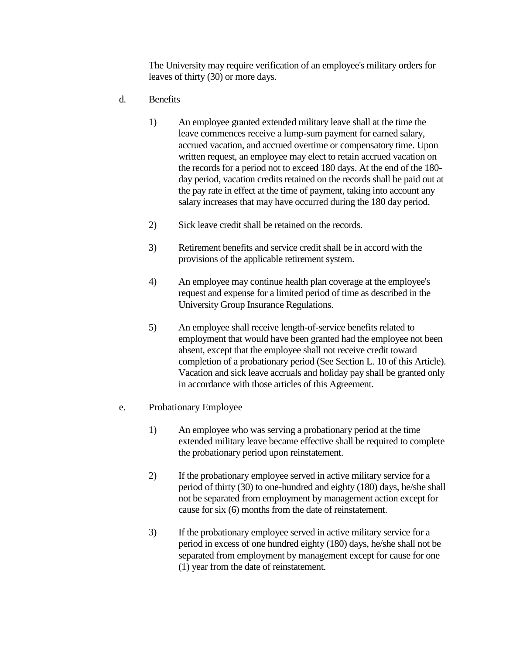The University may require verification of an employee's military orders for leaves of thirty (30) or more days.

- d. Benefits
	- 1) An employee granted extended military leave shall at the time the leave commences receive a lump-sum payment for earned salary, accrued vacation, and accrued overtime or compensatory time. Upon written request, an employee may elect to retain accrued vacation on the records for a period not to exceed 180 days. At the end of the 180 day period, vacation credits retained on the records shall be paid out at the pay rate in effect at the time of payment, taking into account any salary increases that may have occurred during the 180 day period.
	- 2) Sick leave credit shall be retained on the records.
	- 3) Retirement benefits and service credit shall be in accord with the provisions of the applicable retirement system.
	- 4) An employee may continue health plan coverage at the employee's request and expense for a limited period of time as described in the University Group Insurance Regulations.
	- 5) An employee shall receive length-of-service benefits related to employment that would have been granted had the employee not been absent, except that the employee shall not receive credit toward completion of a probationary period (See Section L. 10 of this Article). Vacation and sick leave accruals and holiday pay shall be granted only in accordance with those articles of this Agreement.

### e. Probationary Employee

- 1) An employee who was serving a probationary period at the time extended military leave became effective shall be required to complete the probationary period upon reinstatement.
- 2) If the probationary employee served in active military service for a period of thirty (30) to one-hundred and eighty (180) days, he/she shall not be separated from employment by management action except for cause for six (6) months from the date of reinstatement.
- 3) If the probationary employee served in active military service for a period in excess of one hundred eighty (180) days, he/she shall not be separated from employment by management except for cause for one (1) year from the date of reinstatement.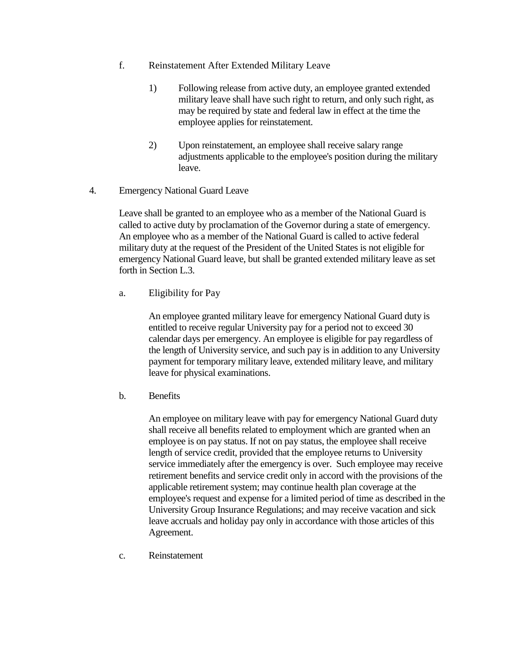- f. Reinstatement After Extended Military Leave
	- 1) Following release from active duty, an employee granted extended military leave shall have such right to return, and only such right, as may be required by state and federal law in effect at the time the employee applies for reinstatement.
	- 2) Upon reinstatement, an employee shall receive salary range adjustments applicable to the employee's position during the military leave.
- 4. Emergency National Guard Leave

Leave shall be granted to an employee who as a member of the National Guard is called to active duty by proclamation of the Governor during a state of emergency. An employee who as a member of the National Guard is called to active federal military duty at the request of the President of the United States is not eligible for emergency National Guard leave, but shall be granted extended military leave as set forth in Section L.3.

a. Eligibility for Pay

An employee granted military leave for emergency National Guard duty is entitled to receive regular University pay for a period not to exceed 30 calendar days per emergency. An employee is eligible for pay regardless of the length of University service, and such pay is in addition to any University payment for temporary military leave, extended military leave, and military leave for physical examinations.

b. Benefits

An employee on military leave with pay for emergency National Guard duty shall receive all benefits related to employment which are granted when an employee is on pay status. If not on pay status, the employee shall receive length of service credit, provided that the employee returns to University service immediately after the emergency is over. Such employee may receive retirement benefits and service credit only in accord with the provisions of the applicable retirement system; may continue health plan coverage at the employee's request and expense for a limited period of time as described in the University Group Insurance Regulations; and may receive vacation and sick leave accruals and holiday pay only in accordance with those articles of this Agreement.

c. Reinstatement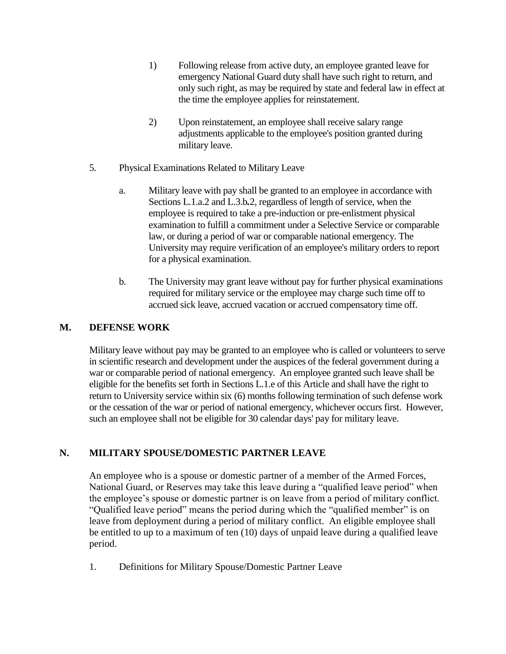- 1) Following release from active duty, an employee granted leave for emergency National Guard duty shall have such right to return, and only such right, as may be required by state and federal law in effect at the time the employee applies for reinstatement.
- 2) Upon reinstatement, an employee shall receive salary range adjustments applicable to the employee's position granted during military leave.
- 5. Physical Examinations Related to Military Leave
	- a. Military leave with pay shall be granted to an employee in accordance with Sections L.1.a.2 and L.3.b*.*2, regardless of length of service, when the employee is required to take a pre-induction or pre-enlistment physical examination to fulfill a commitment under a Selective Service or comparable law, or during a period of war or comparable national emergency. The University may require verification of an employee's military orders to report for a physical examination.
	- b. The University may grant leave without pay for further physical examinations required for military service or the employee may charge such time off to accrued sick leave, accrued vacation or accrued compensatory time off.

# **M. DEFENSE WORK**

Military leave without pay may be granted to an employee who is called or volunteers to serve in scientific research and development under the auspices of the federal government during a war or comparable period of national emergency. An employee granted such leave shall be eligible for the benefits set forth in Sections L.1.e of this Article and shall have the right to return to University service within six (6) months following termination of such defense work or the cessation of the war or period of national emergency, whichever occurs first. However, such an employee shall not be eligible for 30 calendar days' pay for military leave.

# **N. MILITARY SPOUSE/DOMESTIC PARTNER LEAVE**

An employee who is a spouse or domestic partner of a member of the Armed Forces, National Guard, or Reserves may take this leave during a "qualified leave period" when the employee's spouse or domestic partner is on leave from a period of military conflict. "Qualified leave period" means the period during which the "qualified member" is on leave from deployment during a period of military conflict. An eligible employee shall be entitled to up to a maximum of ten (10) days of unpaid leave during a qualified leave period.

1. Definitions for Military Spouse/Domestic Partner Leave